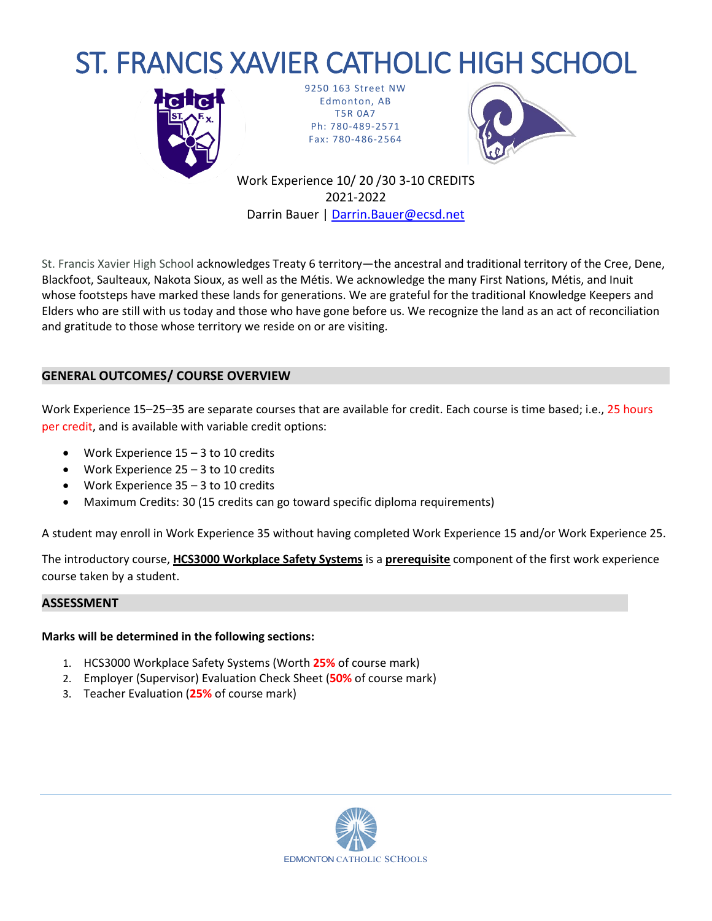# ST. FRANCIS XAVIER CATHOLIC HIGH SCHOOL



9250 163 Street NW Edmonton, AB T5R 0A7 Ph: 780-489-2571 Fax: 780-486-2564



Work Experience 10/ 20 /30 3-10 CREDITS 2021-2022 Darrin Bauer | [Darrin.Bauer@ecsd.net](mailto:Darrin.Bauer@ecsd.net)

St. Francis Xavier High School acknowledges Treaty 6 territory—the ancestral and traditional territory of the Cree, Dene, Blackfoot, Saulteaux, Nakota Sioux, as well as the Métis. We acknowledge the many First Nations, Métis, and Inuit whose footsteps have marked these lands for generations. We are grateful for the traditional Knowledge Keepers and Elders who are still with us today and those who have gone before us. We recognize the land as an act of reconciliation and gratitude to those whose territory we reside on or are visiting.

## **GENERAL OUTCOMES/ COURSE OVERVIEW**

Work Experience 15–25–35 are separate courses that are available for credit. Each course is time based; i.e., 25 hours per credit, and is available with variable credit options:

- Work Experience 15 3 to 10 credits
- Work Experience  $25 3$  to 10 credits
- Work Experience 35 3 to 10 credits
- Maximum Credits: 30 (15 credits can go toward specific diploma requirements)

A student may enroll in Work Experience 35 without having completed Work Experience 15 and/or Work Experience 25.

The introductory course, **HCS3000 Workplace Safety Systems** is a **prerequisite** component of the first work experience course taken by a student.

#### **ASSESSMENT**

#### **Marks will be determined in the following sections:**

- 1. HCS3000 Workplace Safety Systems (Worth **25%** of course mark)
- 2. Employer (Supervisor) Evaluation Check Sheet (**50%** of course mark)
- 3. Teacher Evaluation (**25%** of course mark)